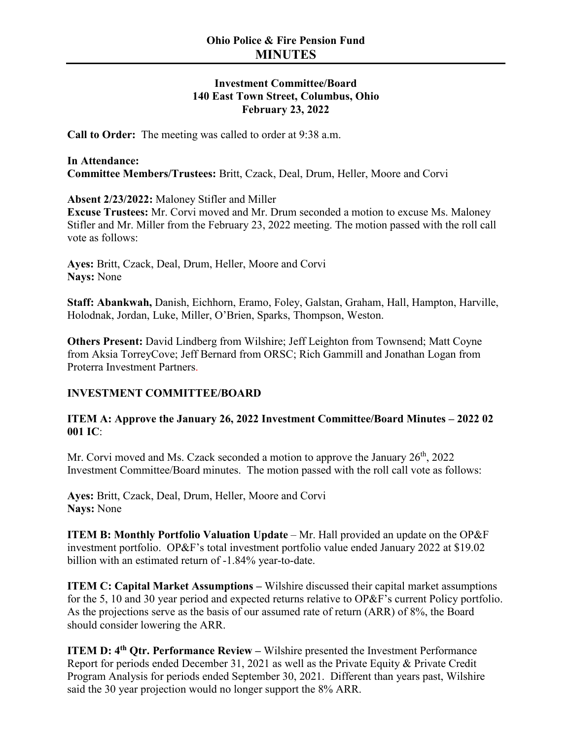## **Investment Committee/Board 140 East Town Street, Columbus, Ohio February 23, 2022**

**Call to Order:** The meeting was called to order at 9:38 a.m.

## **In Attendance: Committee Members/Trustees:** Britt, Czack, Deal, Drum, Heller, Moore and Corvi

**Absent 2/23/2022:** Maloney Stifler and Miller

**Excuse Trustees:** Mr. Corvi moved and Mr. Drum seconded a motion to excuse Ms. Maloney Stifler and Mr. Miller from the February 23, 2022 meeting. The motion passed with the roll call vote as follows:

**Ayes:** Britt, Czack, Deal, Drum, Heller, Moore and Corvi **Nays:** None

**Staff: Abankwah,** Danish, Eichhorn, Eramo, Foley, Galstan, Graham, Hall, Hampton, Harville, Holodnak, Jordan, Luke, Miller, O'Brien, Sparks, Thompson, Weston.

**Others Present:** David Lindberg from Wilshire; Jeff Leighton from Townsend; Matt Coyne from Aksia TorreyCove; Jeff Bernard from ORSC; Rich Gammill and Jonathan Logan from Proterra Investment Partners.

## **INVESTMENT COMMITTEE/BOARD**

## **ITEM A: Approve the January 26, 2022 Investment Committee/Board Minutes – 2022 02 001 IC**:

Mr. Corvi moved and Ms. Czack seconded a motion to approve the January  $26<sup>th</sup>$ , 2022 Investment Committee/Board minutes. The motion passed with the roll call vote as follows:

**Ayes:** Britt, Czack, Deal, Drum, Heller, Moore and Corvi **Nays:** None

**ITEM B: Monthly Portfolio Valuation Update** – Mr. Hall provided an update on the OP&F investment portfolio. OP&F's total investment portfolio value ended January 2022 at \$19.02 billion with an estimated return of -1.84% year-to-date.

**ITEM C: Capital Market Assumptions –** Wilshire discussed their capital market assumptions for the 5, 10 and 30 year period and expected returns relative to OP&F's current Policy portfolio. As the projections serve as the basis of our assumed rate of return (ARR) of 8%, the Board should consider lowering the ARR.

**ITEM D: 4<sup>th</sup> Qtr. Performance Review –** Wilshire presented the Investment Performance Report for periods ended December 31, 2021 as well as the Private Equity & Private Credit Program Analysis for periods ended September 30, 2021. Different than years past, Wilshire said the 30 year projection would no longer support the 8% ARR.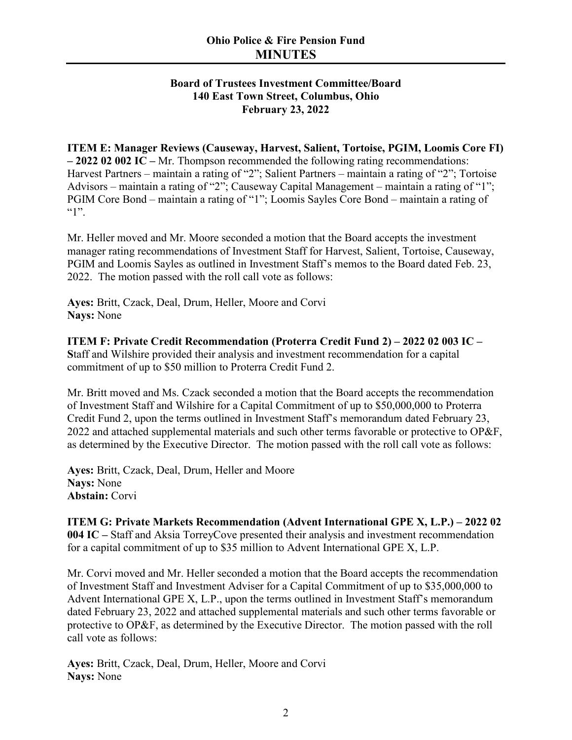# **Ohio Police & Fire Pension Fund MINUTES**

## **Board of Trustees Investment Committee/Board 140 East Town Street, Columbus, Ohio February 23, 2022**

**ITEM E: Manager Reviews (Causeway, Harvest, Salient, Tortoise, PGIM, Loomis Core FI) – 2022 02 002 IC –** Mr. Thompson recommended the following rating recommendations: Harvest Partners – maintain a rating of "2"; Salient Partners – maintain a rating of "2"; Tortoise Advisors – maintain a rating of "2"; Causeway Capital Management – maintain a rating of "1"; PGIM Core Bond – maintain a rating of "1"; Loomis Sayles Core Bond – maintain a rating of  $\lq\lq\lq\lq\lq\lq\lq\lq$ 

Mr. Heller moved and Mr. Moore seconded a motion that the Board accepts the investment manager rating recommendations of Investment Staff for Harvest, Salient, Tortoise, Causeway, PGIM and Loomis Sayles as outlined in Investment Staff's memos to the Board dated Feb. 23, 2022. The motion passed with the roll call vote as follows:

**Ayes:** Britt, Czack, Deal, Drum, Heller, Moore and Corvi **Nays:** None

**ITEM F: Private Credit Recommendation (Proterra Credit Fund 2) – 2022 02 003 IC – S**taff and Wilshire provided their analysis and investment recommendation for a capital commitment of up to \$50 million to Proterra Credit Fund 2.

Mr. Britt moved and Ms. Czack seconded a motion that the Board accepts the recommendation of Investment Staff and Wilshire for a Capital Commitment of up to \$50,000,000 to Proterra Credit Fund 2, upon the terms outlined in Investment Staff's memorandum dated February 23, 2022 and attached supplemental materials and such other terms favorable or protective to OP&F, as determined by the Executive Director. The motion passed with the roll call vote as follows:

**Ayes:** Britt, Czack, Deal, Drum, Heller and Moore **Nays:** None **Abstain:** Corvi

**ITEM G: Private Markets Recommendation (Advent International GPE X, L.P.) – 2022 02 004 IC –** Staff and Aksia TorreyCove presented their analysis and investment recommendation for a capital commitment of up to \$35 million to Advent International GPE X, L.P.

Mr. Corvi moved and Mr. Heller seconded a motion that the Board accepts the recommendation of Investment Staff and Investment Adviser for a Capital Commitment of up to \$35,000,000 to Advent International GPE X, L.P., upon the terms outlined in Investment Staff's memorandum dated February 23, 2022 and attached supplemental materials and such other terms favorable or protective to OP&F, as determined by the Executive Director. The motion passed with the roll call vote as follows:

**Ayes:** Britt, Czack, Deal, Drum, Heller, Moore and Corvi **Nays:** None